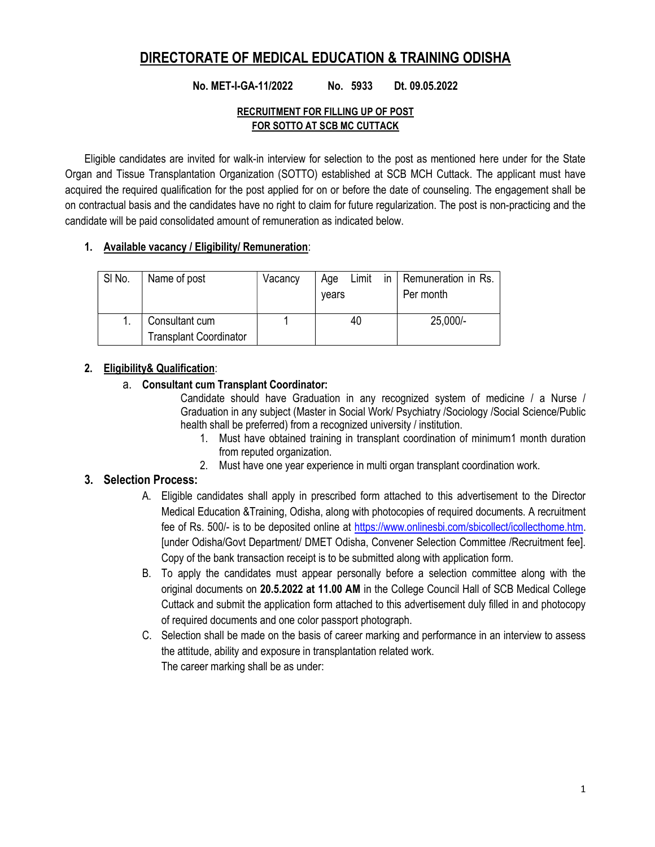## DIRECTORATE OF MEDICAL EDUCATION & TRAINING ODISHA

#### No. MET-I-GA-11/2022 No. 5933 Dt. 09.05.2022

#### RECRUITMENT FOR FILLING UP OF POST FOR SOTTO AT SCB MC CUTTACK

Eligible candidates are invited for walk-in interview for selection to the post as mentioned here under for the State Organ and Tissue Transplantation Organization (SOTTO) established at SCB MCH Cuttack. The applicant must have acquired the required qualification for the post applied for on or before the date of counseling. The engagement shall be on contractual basis and the candidates have no right to claim for future regularization. The post is non-practicing and the candidate will be paid consolidated amount of remuneration as indicated below.

#### 1. Available vacancy / Eligibility/ Remuneration:

| SI No. | Name of post                                    | Vacancy | Limit<br>Age<br>in.<br>vears | Remuneration in Rs.<br>Per month |  |
|--------|-------------------------------------------------|---------|------------------------------|----------------------------------|--|
|        | Consultant cum<br><b>Transplant Coordinator</b> |         | 40                           | 25,000/-                         |  |

#### 2. Eligibility& Qualification:

#### a. Consultant cum Transplant Coordinator:

Candidate should have Graduation in any recognized system of medicine / a Nurse / Graduation in any subject (Master in Social Work/ Psychiatry /Sociology /Social Science/Public health shall be preferred) from a recognized university / institution.

- 1. Must have obtained training in transplant coordination of minimum1 month duration from reputed organization.
- 2. Must have one year experience in multi organ transplant coordination work.

#### 3. Selection Process:

- A. Eligible candidates shall apply in prescribed form attached to this advertisement to the Director Medical Education &Training, Odisha, along with photocopies of required documents. A recruitment fee of Rs. 500/- is to be deposited online at https://www.onlinesbi.com/sbicollect/icollecthome.htm. [under Odisha/Govt Department/ DMET Odisha, Convener Selection Committee /Recruitment fee]. Copy of the bank transaction receipt is to be submitted along with application form.
- B. To apply the candidates must appear personally before a selection committee along with the original documents on 20.5.2022 at 11.00 AM in the College Council Hall of SCB Medical College Cuttack and submit the application form attached to this advertisement duly filled in and photocopy of required documents and one color passport photograph.
- C. Selection shall be made on the basis of career marking and performance in an interview to assess the attitude, ability and exposure in transplantation related work. The career marking shall be as under: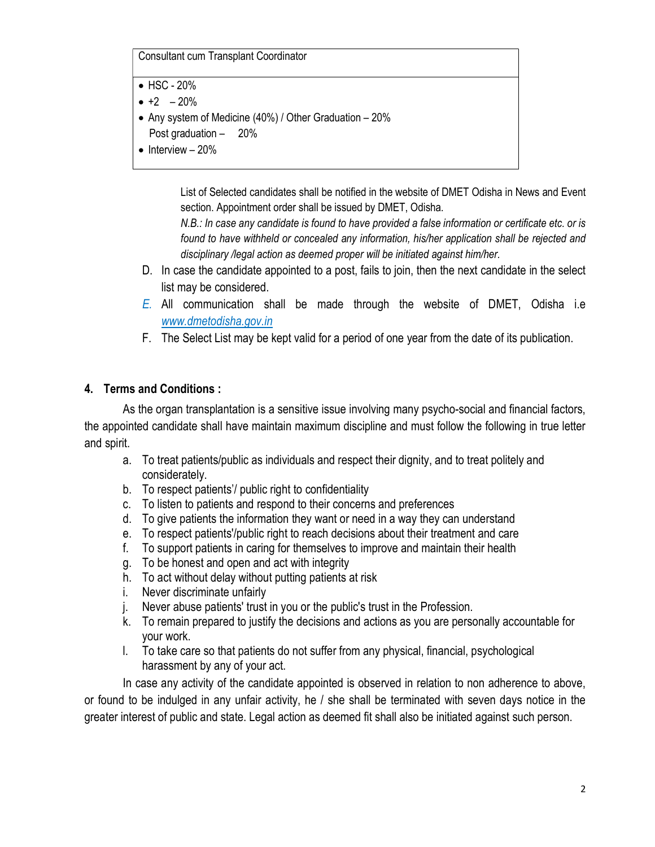Consultant cum Transplant Coordinator

- $\bullet$  HSC 20%
- $\bullet$  +2 20%
- Any system of Medicine (40%) / Other Graduation 20% Post graduation – 20%
- $\bullet$  Interview 20%

List of Selected candidates shall be notified in the website of DMET Odisha in News and Event section. Appointment order shall be issued by DMET, Odisha.

N.B.: In case any candidate is found to have provided a false information or certificate etc. or is found to have withheld or concealed any information, his/her application shall be rejected and disciplinary /legal action as deemed proper will be initiated against him/her.

- D. In case the candidate appointed to a post, fails to join, then the next candidate in the select list may be considered.
- E. All communication shall be made through the website of DMET, Odisha i.e www.dmetodisha.gov.in
- F. The Select List may be kept valid for a period of one year from the date of its publication.

### 4. Terms and Conditions :

As the organ transplantation is a sensitive issue involving many psycho-social and financial factors, the appointed candidate shall have maintain maximum discipline and must follow the following in true letter and spirit.

- a. To treat patients/public as individuals and respect their dignity, and to treat politely and considerately.
- b. To respect patients'/ public right to confidentiality
- c. To listen to patients and respond to their concerns and preferences
- d. To give patients the information they want or need in a way they can understand
- e. To respect patients'/public right to reach decisions about their treatment and care
- f. To support patients in caring for themselves to improve and maintain their health
- g. To be honest and open and act with integrity
- h. To act without delay without putting patients at risk
- i. Never discriminate unfairly
- j. Never abuse patients' trust in you or the public's trust in the Profession.
- k. To remain prepared to justify the decisions and actions as you are personally accountable for your work.
- l. To take care so that patients do not suffer from any physical, financial, psychological harassment by any of your act.

In case any activity of the candidate appointed is observed in relation to non adherence to above, or found to be indulged in any unfair activity, he / she shall be terminated with seven days notice in the greater interest of public and state. Legal action as deemed fit shall also be initiated against such person.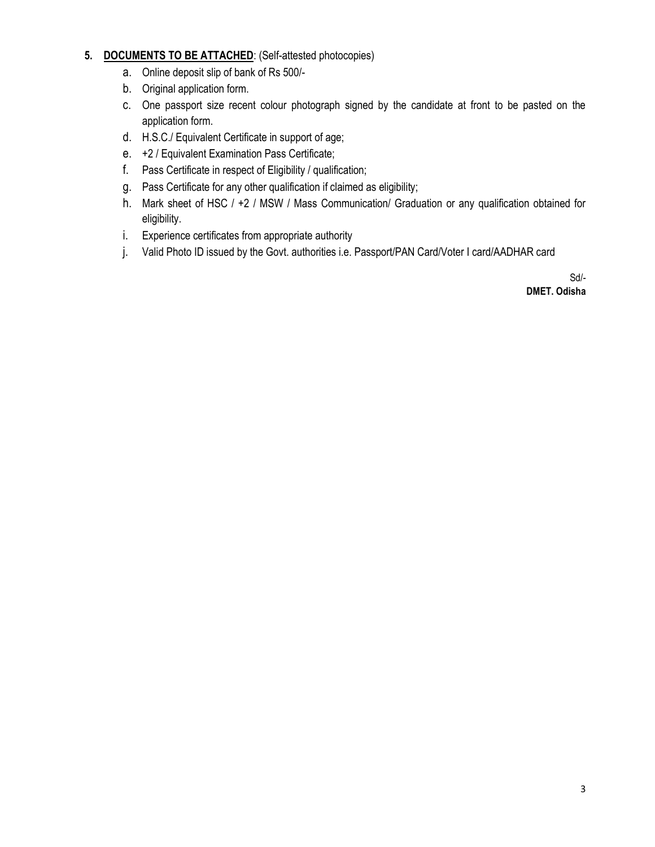#### 5. DOCUMENTS TO BE ATTACHED: (Self-attested photocopies)

- a. Online deposit slip of bank of Rs 500/-
- b. Original application form.
- c. One passport size recent colour photograph signed by the candidate at front to be pasted on the application form.
- d. H.S.C./ Equivalent Certificate in support of age;
- e. +2 / Equivalent Examination Pass Certificate;
- f. Pass Certificate in respect of Eligibility / qualification;
- g. Pass Certificate for any other qualification if claimed as eligibility;
- h. Mark sheet of HSC / +2 / MSW / Mass Communication/ Graduation or any qualification obtained for eligibility.
- i. Experience certificates from appropriate authority
- j. Valid Photo ID issued by the Govt. authorities i.e. Passport/PAN Card/Voter I card/AADHAR card

Sd/-

DMET. Odisha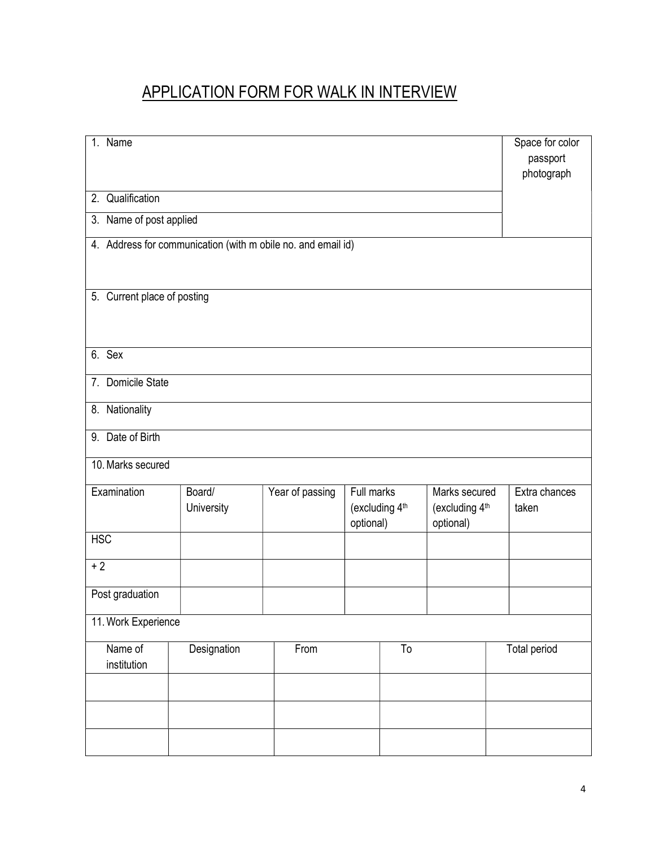# APPLICATION FORM FOR WALK IN INTERVIEW

| 1. Name                                                      |                      |                 |                         |                |                                              |  | Space for color<br>passport |  |  |
|--------------------------------------------------------------|----------------------|-----------------|-------------------------|----------------|----------------------------------------------|--|-----------------------------|--|--|
|                                                              |                      |                 |                         |                |                                              |  | photograph                  |  |  |
| 2. Qualification                                             |                      |                 |                         |                |                                              |  |                             |  |  |
| 3. Name of post applied                                      |                      |                 |                         |                |                                              |  |                             |  |  |
| 4. Address for communication (with m obile no. and email id) |                      |                 |                         |                |                                              |  |                             |  |  |
| 5. Current place of posting                                  |                      |                 |                         |                |                                              |  |                             |  |  |
| 6. Sex                                                       |                      |                 |                         |                |                                              |  |                             |  |  |
| 7. Domicile State                                            |                      |                 |                         |                |                                              |  |                             |  |  |
| 8. Nationality                                               |                      |                 |                         |                |                                              |  |                             |  |  |
| Date of Birth<br>9.                                          |                      |                 |                         |                |                                              |  |                             |  |  |
| 10. Marks secured                                            |                      |                 |                         |                |                                              |  |                             |  |  |
| Examination                                                  | Board/<br>University | Year of passing | Full marks<br>optional) | (excluding 4th | Marks secured<br>(excluding 4th<br>optional) |  | Extra chances<br>taken      |  |  |
| <b>HSC</b>                                                   |                      |                 |                         |                |                                              |  |                             |  |  |
| $+2$                                                         |                      |                 |                         |                |                                              |  |                             |  |  |
| Post graduation                                              |                      |                 |                         |                |                                              |  |                             |  |  |
| 11. Work Experience                                          |                      |                 |                         |                |                                              |  |                             |  |  |
| Name of<br>institution                                       | Designation          | From            |                         | To             |                                              |  | <b>Total period</b>         |  |  |
|                                                              |                      |                 |                         |                |                                              |  |                             |  |  |
|                                                              |                      |                 |                         |                |                                              |  |                             |  |  |
|                                                              |                      |                 |                         |                |                                              |  |                             |  |  |